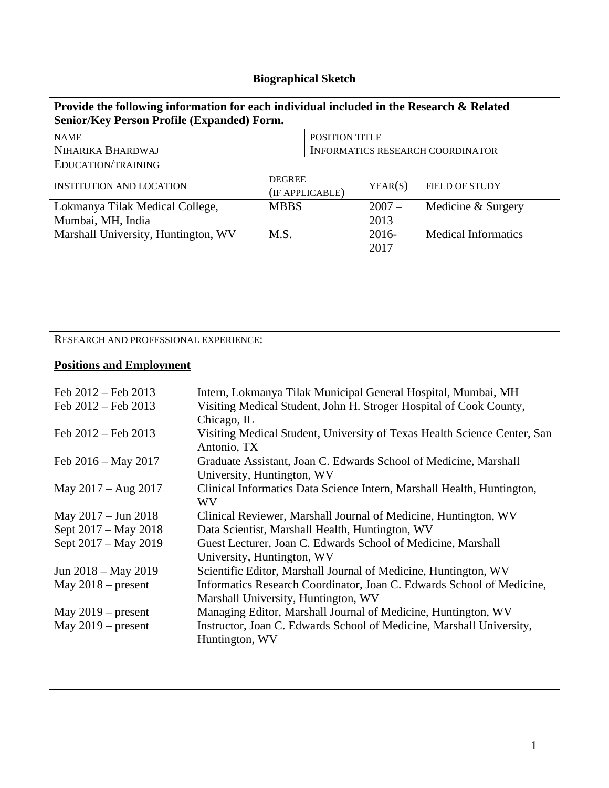## **Biographical Sketch**

| Provide the following information for each individual included in the Research & Related<br><b>Senior/Key Person Profile (Expanded) Form.</b> |                                                                                            |                                  |                                         |               |                            |  |  |
|-----------------------------------------------------------------------------------------------------------------------------------------------|--------------------------------------------------------------------------------------------|----------------------------------|-----------------------------------------|---------------|----------------------------|--|--|
| <b>NAME</b>                                                                                                                                   |                                                                                            | POSITION TITLE                   |                                         |               |                            |  |  |
| NIHARIKA BHARDWAJ                                                                                                                             |                                                                                            |                                  | <b>INFORMATICS RESEARCH COORDINATOR</b> |               |                            |  |  |
| EDUCATION/TRAINING                                                                                                                            |                                                                                            |                                  |                                         |               |                            |  |  |
| <b>INSTITUTION AND LOCATION</b>                                                                                                               |                                                                                            | <b>DEGREE</b><br>(IF APPLICABLE) |                                         | YEAR(S)       | <b>FIELD OF STUDY</b>      |  |  |
| Lokmanya Tilak Medical College,                                                                                                               |                                                                                            | <b>MBBS</b>                      |                                         | $2007 -$      | Medicine & Surgery         |  |  |
| Mumbai, MH, India                                                                                                                             |                                                                                            |                                  |                                         | 2013          |                            |  |  |
| Marshall University, Huntington, WV                                                                                                           |                                                                                            | M.S.                             |                                         | 2016-<br>2017 | <b>Medical Informatics</b> |  |  |
|                                                                                                                                               |                                                                                            |                                  |                                         |               |                            |  |  |
| <b>RESEARCH AND PROFESSIONAL EXPERIENCE:</b>                                                                                                  |                                                                                            |                                  |                                         |               |                            |  |  |
| <b>Positions and Employment</b>                                                                                                               |                                                                                            |                                  |                                         |               |                            |  |  |
| Feb 2012 - Feb 2013                                                                                                                           | Intern, Lokmanya Tilak Municipal General Hospital, Mumbai, MH                              |                                  |                                         |               |                            |  |  |
| Feb 2012 - Feb 2013                                                                                                                           | Visiting Medical Student, John H. Stroger Hospital of Cook County,                         |                                  |                                         |               |                            |  |  |
|                                                                                                                                               | Chicago, IL                                                                                |                                  |                                         |               |                            |  |  |
| Feb 2012 - Feb 2013                                                                                                                           | Visiting Medical Student, University of Texas Health Science Center, San<br>Antonio, TX    |                                  |                                         |               |                            |  |  |
| Feb $2016 - May 2017$                                                                                                                         | Graduate Assistant, Joan C. Edwards School of Medicine, Marshall                           |                                  |                                         |               |                            |  |  |
|                                                                                                                                               | University, Huntington, WV                                                                 |                                  |                                         |               |                            |  |  |
| May $2017 - Aug 2017$                                                                                                                         | Clinical Informatics Data Science Intern, Marshall Health, Huntington,<br><b>WV</b>        |                                  |                                         |               |                            |  |  |
| May 2017 – Jun 2018                                                                                                                           | Clinical Reviewer, Marshall Journal of Medicine, Huntington, WV                            |                                  |                                         |               |                            |  |  |
| Sept 2017 – May 2018                                                                                                                          | Data Scientist, Marshall Health, Huntington, WV                                            |                                  |                                         |               |                            |  |  |
| Sept 2017 - May 2019                                                                                                                          | Guest Lecturer, Joan C. Edwards School of Medicine, Marshall<br>University, Huntington, WV |                                  |                                         |               |                            |  |  |
| Jun 2018 – May 2019                                                                                                                           | Scientific Editor, Marshall Journal of Medicine, Huntington, WV                            |                                  |                                         |               |                            |  |  |
| May $2018$ – present                                                                                                                          | Informatics Research Coordinator, Joan C. Edwards School of Medicine,                      |                                  |                                         |               |                            |  |  |
| Marshall University, Huntington, WV                                                                                                           |                                                                                            |                                  |                                         |               |                            |  |  |
| May $2019$ – present                                                                                                                          | Managing Editor, Marshall Journal of Medicine, Huntington, WV                              |                                  |                                         |               |                            |  |  |
| May $2019$ – present                                                                                                                          | Instructor, Joan C. Edwards School of Medicine, Marshall University,<br>Huntington, WV     |                                  |                                         |               |                            |  |  |
|                                                                                                                                               |                                                                                            |                                  |                                         |               |                            |  |  |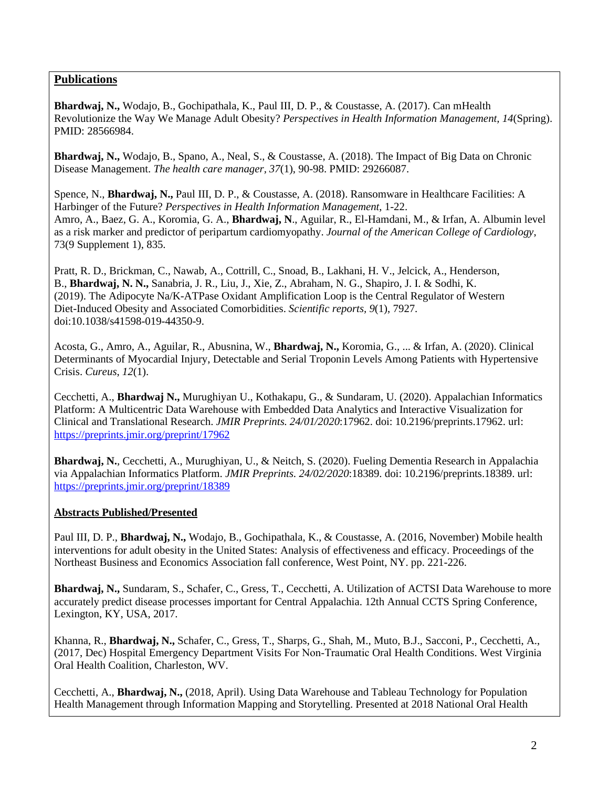## **Publications**

**Bhardwaj, N.,** Wodajo, B., Gochipathala, K., Paul III, D. P., & Coustasse, A. (2017). Can mHealth Revolutionize the Way We Manage Adult Obesity? *Perspectives in Health Information Management, 14*(Spring). PMID: 28566984.

**Bhardwaj, N.,** Wodajo, B., Spano, A., Neal, S., & Coustasse, A. (2018). The Impact of Big Data on Chronic Disease Management. *The health care manager, 37*(1), 90-98. PMID: 29266087.

Spence, N., **Bhardwaj, N.,** Paul III, D. P., & Coustasse, A. (2018). Ransomware in Healthcare Facilities: A Harbinger of the Future? *Perspectives in Health Information Management*, 1-22. Amro, A., Baez, G. A., Koromia, G. A., **Bhardwaj, N**., Aguilar, R., El-Hamdani, M., & Irfan, A. Albumin level as a risk marker and predictor of peripartum cardiomyopathy. *Journal of the American College of Cardiology*, 73(9 Supplement 1), 835.

Pratt, R. D., Brickman, C., Nawab, A., Cottrill, C., Snoad, B., Lakhani, H. V., Jelcick, A., Henderson, B., **Bhardwaj, N. N.,** Sanabria, J. R., Liu, J., Xie, Z., Abraham, N. G., Shapiro, J. I. & Sodhi, K. (2019). The Adipocyte Na/K-ATPase Oxidant Amplification Loop is the Central Regulator of Western Diet-Induced Obesity and Associated Comorbidities. *Scientific reports, 9*(1), 7927. doi:10.1038/s41598-019-44350-9.

Acosta, G., Amro, A., Aguilar, R., Abusnina, W., **Bhardwaj, N.,** Koromia, G., ... & Irfan, A. (2020). Clinical Determinants of Myocardial Injury, Detectable and Serial Troponin Levels Among Patients with Hypertensive Crisis. *Cureus*, *12*(1).

Cecchetti, A., **Bhardwaj N.,** Murughiyan U., Kothakapu, G., & Sundaram, U. (2020). Appalachian Informatics Platform: A Multicentric Data Warehouse with Embedded Data Analytics and Interactive Visualization for Clinical and Translational Research. *JMIR Preprints. 24/01/2020*:17962. doi: 10.2196/preprints.17962. url: <https://preprints.jmir.org/preprint/17962>

**Bhardwaj, N.**, Cecchetti, A., Murughiyan, U., & Neitch, S. (2020). Fueling Dementia Research in Appalachia via Appalachian Informatics Platform. *JMIR Preprints. 24/02/2020*:18389. doi: 10.2196/preprints.18389. url: <https://preprints.jmir.org/preprint/18389>

## **Abstracts Published/Presented**

Paul III, D. P., **Bhardwaj, N.,** Wodajo, B., Gochipathala, K., & Coustasse, A. (2016, November) Mobile health interventions for adult obesity in the United States: Analysis of effectiveness and efficacy. Proceedings of the Northeast Business and Economics Association fall conference, West Point, NY. pp. 221-226.

**Bhardwaj, N.,** Sundaram, S., Schafer, C., Gress, T., Cecchetti, A. Utilization of ACTSI Data Warehouse to more accurately predict disease processes important for Central Appalachia. 12th Annual CCTS Spring Conference, Lexington, KY, USA, 2017.

Khanna, R., **Bhardwaj, N.,** Schafer, C., Gress, T., Sharps, G., Shah, M., Muto, B.J., Sacconi, P., Cecchetti, A., (2017, Dec) Hospital Emergency Department Visits For Non‐Traumatic Oral Health Conditions. West Virginia Oral Health Coalition, Charleston, WV.

Cecchetti, A., **Bhardwaj, N.,** (2018, April). Using Data Warehouse and Tableau Technology for Population Health Management through Information Mapping and Storytelling. Presented at 2018 National Oral Health